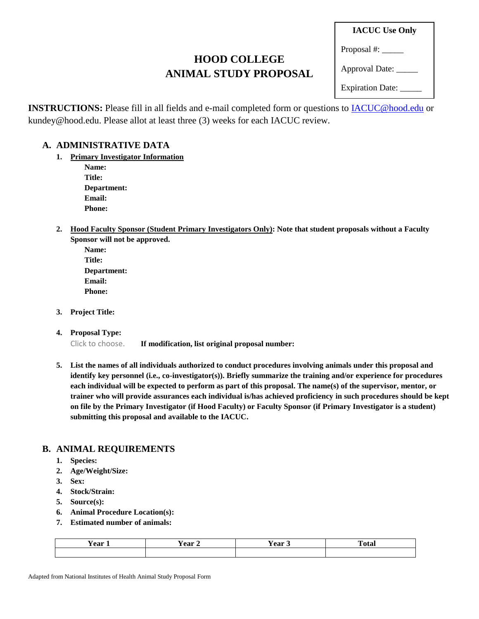# **HOOD COLLEGE ANIMAL STUDY PROPOSAL**

**IACUC Use Only**

Proposal #:

Approval Date: \_\_\_\_\_

Expiration Date: \_\_\_\_\_

**INSTRUCTIONS:** Please fill in all fields and e-mail completed form or questions to [IACUC@hood.edu](mailto:IACUC@hood.edu) or kundey@hood.edu. Please allot at least three (3) weeks for each IACUC review.

# **A. ADMINISTRATIVE DATA**

**1. Primary Investigator Information** 

**Name: Title: Department: Email: Phone:**

**2. Hood Faculty Sponsor (Student Primary Investigators Only): Note that student proposals without a Faculty Sponsor will not be approved.**

| <b>Name:</b>  |
|---------------|
| Title:        |
| Department:   |
| <b>Email:</b> |
| <b>Phone:</b> |

**3. Project Title:**

### **4. Proposal Type:**

Click to choose. **If modification, list original proposal number:** 

**5. List the names of all individuals authorized to conduct procedures involving animals under this proposal and identify key personnel (i.e., co-investigator(s)). Briefly summarize the training and/or experience for procedures each individual will be expected to perform as part of this proposal. The name(s) of the supervisor, mentor, or trainer who will provide assurances each individual is/has achieved proficiency in such procedures should be kept on file by the Primary Investigator (if Hood Faculty) or Faculty Sponsor (if Primary Investigator is a student) submitting this proposal and available to the IACUC.**

# **B. ANIMAL REQUIREMENTS**

- **1. Species:**
- **2. Age/Weight/Size:**
- **3. Sex:**
- **4. Stock/Strain:**
- **5. Source(s):**
- **6. Animal Procedure Location(s):**
- **7. Estimated number of animals:**

| $- -$<br>∕ear | $ -$<br>് പെ<br>- | $\mathbf{A}$ | $\sim$<br>'~ 4~ |
|---------------|-------------------|--------------|-----------------|
|               |                   |              |                 |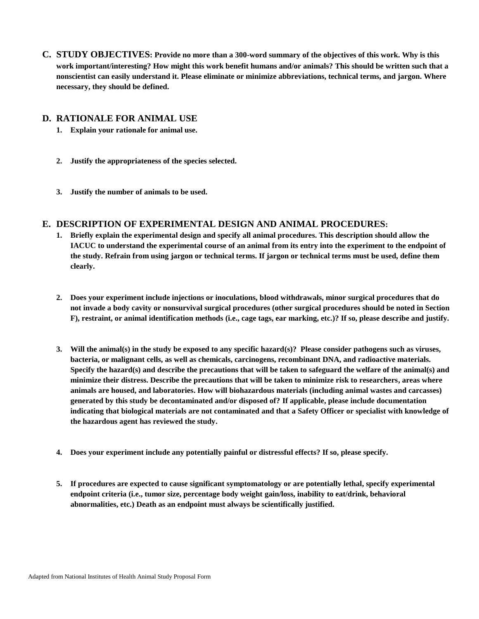**C. STUDY OBJECTIVES: Provide no more than a 300-word summary of the objectives of this work. Why is this work important/interesting? How might this work benefit humans and/or animals? This should be written such that a nonscientist can easily understand it. Please eliminate or minimize abbreviations, technical terms, and jargon. Where necessary, they should be defined.**

#### **D. RATIONALE FOR ANIMAL USE**

- **1. Explain your rationale for animal use.**
- **2. Justify the appropriateness of the species selected.**
- **3. Justify the number of animals to be used.**

## **E. DESCRIPTION OF EXPERIMENTAL DESIGN AND ANIMAL PROCEDURES:**

- **1. Briefly explain the experimental design and specify all animal procedures. This description should allow the IACUC to understand the experimental course of an animal from its entry into the experiment to the endpoint of the study. Refrain from using jargon or technical terms. If jargon or technical terms must be used, define them clearly.**
- **2. Does your experiment include injections or inoculations, blood withdrawals, minor surgical procedures that do not invade a body cavity or nonsurvival surgical procedures (other surgical procedures should be noted in Section F), restraint, or animal identification methods (i.e., cage tags, ear marking, etc.)? If so, please describe and justify.**
- **3. Will the animal(s) in the study be exposed to any specific hazard(s)? Please consider pathogens such as viruses, bacteria, or malignant cells, as well as chemicals, carcinogens, recombinant DNA, and radioactive materials. Specify the hazard(s) and describe the precautions that will be taken to safeguard the welfare of the animal(s) and minimize their distress. Describe the precautions that will be taken to minimize risk to researchers, areas where animals are housed, and laboratories. How will biohazardous materials (including animal wastes and carcasses) generated by this study be decontaminated and/or disposed of? If applicable, please include documentation indicating that biological materials are not contaminated and that a Safety Officer or specialist with knowledge of the hazardous agent has reviewed the study.**
- **4. Does your experiment include any potentially painful or distressful effects? If so, please specify.**
- **5. If procedures are expected to cause significant symptomatology or are potentially lethal, specify experimental endpoint criteria (i.e., tumor size, percentage body weight gain/loss, inability to eat/drink, behavioral abnormalities, etc.) Death as an endpoint must always be scientifically justified.**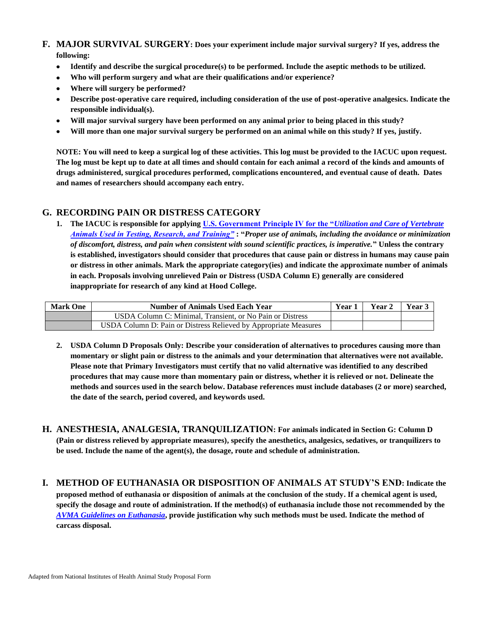- **F. MAJOR SURVIVAL SURGERY: Does your experiment include major survival surgery? If yes, address the following:**
	- $\bullet$ **Identify and describe the surgical procedure(s) to be performed. Include the aseptic methods to be utilized.**
	- **Who will perform surgery and what are their qualifications and/or experience?**  $\bullet$
	- **Where will surgery be performed?**  $\bullet$
	- **Describe post-operative care required, including consideration of the use of post-operative analgesics. Indicate the responsible individual(s).**
	- **Will major survival surgery have been performed on any animal prior to being placed in this study?**  $\bullet$
	- **Will more than one major survival surgery be performed on an animal while on this study? If yes, justify.**

**NOTE: You will need to keep a surgical log of these activities. This log must be provided to the IACUC upon request. The log must be kept up to date at all times and should contain for each animal a record of the kinds and amounts of drugs administered, surgical procedures performed, complications encountered, and eventual cause of death. Dates and names of researchers should accompany each entry.**

### **G. RECORDING PAIN OR DISTRESS CATEGORY**

**1. The IACUC is responsible for applying [U.S. Government Principle IV for the "](http://grants.nih.gov/grants/olaw/references/phspol.htm#USGovPrinciples)***Utilization and Care of Vertebrate [Animals Used in Testing, Research, and Training"](http://grants.nih.gov/grants/olaw/references/phspol.htm#USGovPrinciples)* **: "***Proper use of animals, including the avoidance or minimization of discomfort, distress, and pain when consistent with sound scientific practices, is imperative.***" Unless the contrary is established, investigators should consider that procedures that cause pain or distress in humans may cause pain or distress in other animals. Mark the appropriate category(ies) and indicate the approximate number of animals in each. Proposals involving unrelieved Pain or Distress (USDA Column E) generally are considered inappropriate for research of any kind at Hood College.**

| <b>Mark One</b> | <b>Number of Animals Used Each Year</b>                          | Year 1 | Year 2 | Year 3 |
|-----------------|------------------------------------------------------------------|--------|--------|--------|
|                 | USDA Column C: Minimal, Transient, or No Pain or Distress        |        |        |        |
|                 | USDA Column D: Pain or Distress Relieved by Appropriate Measures |        |        |        |

- **2. USDA Column D Proposals Only: Describe your consideration of alternatives to procedures causing more than momentary or slight pain or distress to the animals and your determination that alternatives were not available. Please note that Primary Investigators must certify that no valid alternative was identified to any described procedures that may cause more than momentary pain or distress, whether it is relieved or not. Delineate the methods and sources used in the search below. Database references must include databases (2 or more) searched, the date of the search, period covered, and keywords used.**
- **H. ANESTHESIA, ANALGESIA, TRANQUILIZATION: For animals indicated in Section G: Column D (Pain or distress relieved by appropriate measures), specify the anesthetics, analgesics, sedatives, or tranquilizers to be used. Include the name of the agent(s), the dosage, route and schedule of administration.**
- **I. METHOD OF EUTHANASIA OR DISPOSITION OF ANIMALS AT STUDY'S END: Indicate the proposed method of euthanasia or disposition of animals at the conclusion of the study. If a chemical agent is used, specify the dosage and route of administration. If the method(s) of euthanasia include those not recommended by the**  *[AVMA Guidelines on Euthanasia](http://www.avma.org/issues/animal_welfare/euthanasia.pdf)***, provide justification why such methods must be used. Indicate the method of carcass disposal.**